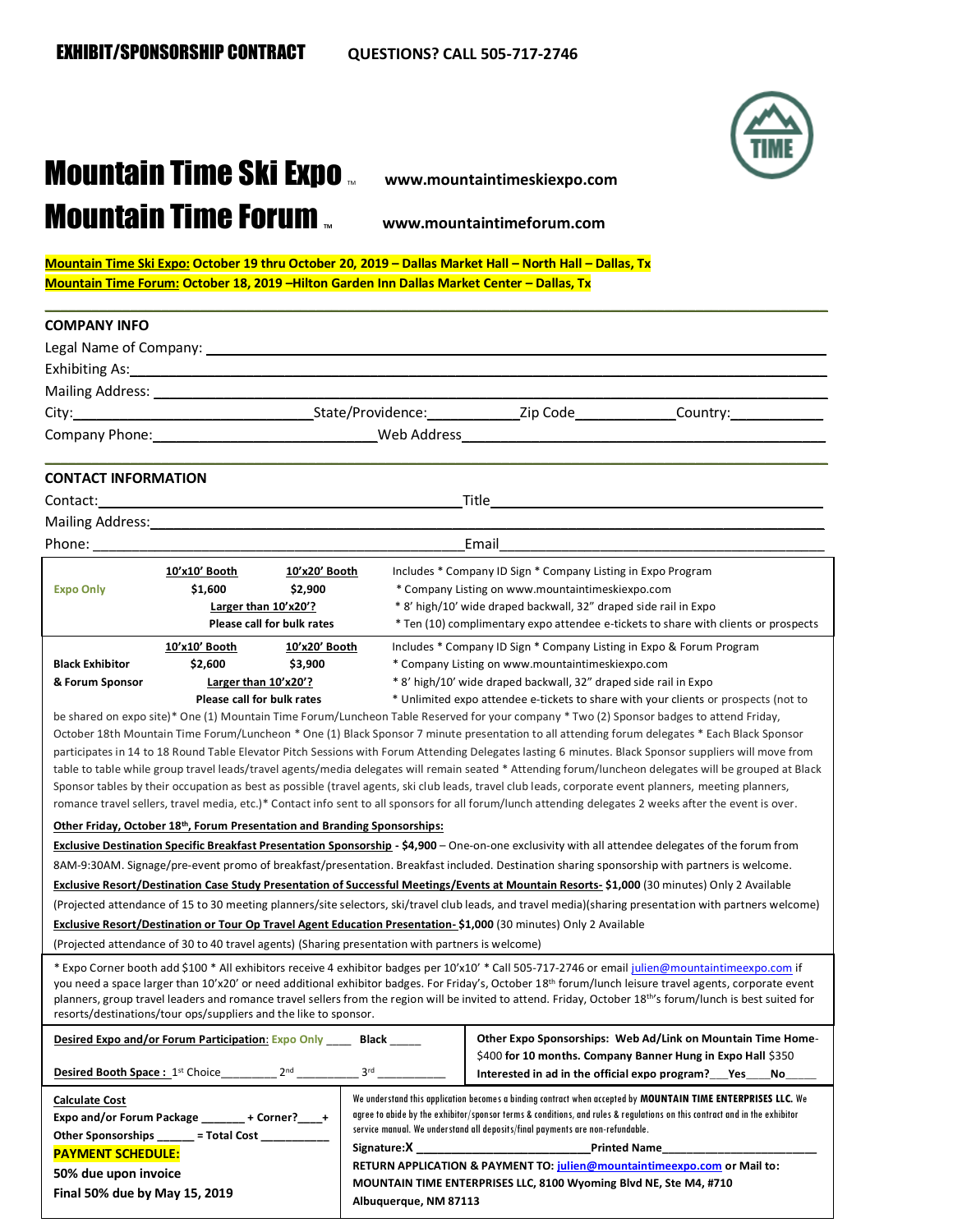

## **Mountain Time Ski Expo** www.mountaintimeskiexpo.com **Mountain Time Forum www.mountaintimeforum.com**

**Mountain Time Ski Expo: October 19 thru October 20, 2019 – Dallas Market Hall – North Hall – Dallas, Tx Mountain Time Forum: October 18, 2019 –Hilton Garden Inn Dallas Market Center – Dallas, Tx** 

| <b>COMPANY INFO</b>                                                                                                                                                                                                                                                                                                                                                                                                                                                                                                                                                                                                                                                                                |                                                                                                                                                                                                                                                                                                                                                                                                                                                                                                                                                                                                                                                                                                                                                                                                                                                                                                                                                                                                                                                                                                                                                                                                                                                                                                                                                                                                                                                                                                                                                                                                                                                                                                                                                                                                                                                                                                                                                                |  |
|----------------------------------------------------------------------------------------------------------------------------------------------------------------------------------------------------------------------------------------------------------------------------------------------------------------------------------------------------------------------------------------------------------------------------------------------------------------------------------------------------------------------------------------------------------------------------------------------------------------------------------------------------------------------------------------------------|----------------------------------------------------------------------------------------------------------------------------------------------------------------------------------------------------------------------------------------------------------------------------------------------------------------------------------------------------------------------------------------------------------------------------------------------------------------------------------------------------------------------------------------------------------------------------------------------------------------------------------------------------------------------------------------------------------------------------------------------------------------------------------------------------------------------------------------------------------------------------------------------------------------------------------------------------------------------------------------------------------------------------------------------------------------------------------------------------------------------------------------------------------------------------------------------------------------------------------------------------------------------------------------------------------------------------------------------------------------------------------------------------------------------------------------------------------------------------------------------------------------------------------------------------------------------------------------------------------------------------------------------------------------------------------------------------------------------------------------------------------------------------------------------------------------------------------------------------------------------------------------------------------------------------------------------------------------|--|
|                                                                                                                                                                                                                                                                                                                                                                                                                                                                                                                                                                                                                                                                                                    |                                                                                                                                                                                                                                                                                                                                                                                                                                                                                                                                                                                                                                                                                                                                                                                                                                                                                                                                                                                                                                                                                                                                                                                                                                                                                                                                                                                                                                                                                                                                                                                                                                                                                                                                                                                                                                                                                                                                                                |  |
|                                                                                                                                                                                                                                                                                                                                                                                                                                                                                                                                                                                                                                                                                                    |                                                                                                                                                                                                                                                                                                                                                                                                                                                                                                                                                                                                                                                                                                                                                                                                                                                                                                                                                                                                                                                                                                                                                                                                                                                                                                                                                                                                                                                                                                                                                                                                                                                                                                                                                                                                                                                                                                                                                                |  |
|                                                                                                                                                                                                                                                                                                                                                                                                                                                                                                                                                                                                                                                                                                    |                                                                                                                                                                                                                                                                                                                                                                                                                                                                                                                                                                                                                                                                                                                                                                                                                                                                                                                                                                                                                                                                                                                                                                                                                                                                                                                                                                                                                                                                                                                                                                                                                                                                                                                                                                                                                                                                                                                                                                |  |
|                                                                                                                                                                                                                                                                                                                                                                                                                                                                                                                                                                                                                                                                                                    |                                                                                                                                                                                                                                                                                                                                                                                                                                                                                                                                                                                                                                                                                                                                                                                                                                                                                                                                                                                                                                                                                                                                                                                                                                                                                                                                                                                                                                                                                                                                                                                                                                                                                                                                                                                                                                                                                                                                                                |  |
|                                                                                                                                                                                                                                                                                                                                                                                                                                                                                                                                                                                                                                                                                                    | Company Phone: New York New York New York New York New York New York New York New York New York New York New York New York New York New York New York New York New York New York New York New York New York New York New York                                                                                                                                                                                                                                                                                                                                                                                                                                                                                                                                                                                                                                                                                                                                                                                                                                                                                                                                                                                                                                                                                                                                                                                                                                                                                                                                                                                                                                                                                                                                                                                                                                                                                                                                  |  |
| <b>CONTACT INFORMATION</b>                                                                                                                                                                                                                                                                                                                                                                                                                                                                                                                                                                                                                                                                         |                                                                                                                                                                                                                                                                                                                                                                                                                                                                                                                                                                                                                                                                                                                                                                                                                                                                                                                                                                                                                                                                                                                                                                                                                                                                                                                                                                                                                                                                                                                                                                                                                                                                                                                                                                                                                                                                                                                                                                |  |
|                                                                                                                                                                                                                                                                                                                                                                                                                                                                                                                                                                                                                                                                                                    |                                                                                                                                                                                                                                                                                                                                                                                                                                                                                                                                                                                                                                                                                                                                                                                                                                                                                                                                                                                                                                                                                                                                                                                                                                                                                                                                                                                                                                                                                                                                                                                                                                                                                                                                                                                                                                                                                                                                                                |  |
| Mailing Address: Mailing Address: Mailing Address: Mailing Address: Mail 1999                                                                                                                                                                                                                                                                                                                                                                                                                                                                                                                                                                                                                      |                                                                                                                                                                                                                                                                                                                                                                                                                                                                                                                                                                                                                                                                                                                                                                                                                                                                                                                                                                                                                                                                                                                                                                                                                                                                                                                                                                                                                                                                                                                                                                                                                                                                                                                                                                                                                                                                                                                                                                |  |
|                                                                                                                                                                                                                                                                                                                                                                                                                                                                                                                                                                                                                                                                                                    | Email                                                                                                                                                                                                                                                                                                                                                                                                                                                                                                                                                                                                                                                                                                                                                                                                                                                                                                                                                                                                                                                                                                                                                                                                                                                                                                                                                                                                                                                                                                                                                                                                                                                                                                                                                                                                                                                                                                                                                          |  |
| <u>10'x10' Booth</u><br>10'x20' Booth<br><b>Expo Only</b><br>\$1,600<br>\$2,900<br>Larger than 10'x20'?<br>Please call for bulk rates                                                                                                                                                                                                                                                                                                                                                                                                                                                                                                                                                              | Includes * Company ID Sign * Company Listing in Expo Program<br>* Company Listing on www.mountaintimeskiexpo.com<br>* 8' high/10' wide draped backwall, 32" draped side rail in Expo<br>* Ten (10) complimentary expo attendee e-tickets to share with clients or prospects                                                                                                                                                                                                                                                                                                                                                                                                                                                                                                                                                                                                                                                                                                                                                                                                                                                                                                                                                                                                                                                                                                                                                                                                                                                                                                                                                                                                                                                                                                                                                                                                                                                                                    |  |
| 10'x10' Booth<br>10'x20' Booth<br><b>Black Exhibitor</b><br>\$2,600<br>\$3,900<br>Larger than 10'x20'?<br>& Forum Sponsor<br>Please call for bulk rates<br>Other Friday, October 18th, Forum Presentation and Branding Sponsorships:<br>(Projected attendance of 30 to 40 travel agents) (Sharing presentation with partners is welcome)                                                                                                                                                                                                                                                                                                                                                           | Includes * Company ID Sign * Company Listing in Expo & Forum Program<br>* Company Listing on www.mountaintimeskiexpo.com<br>* 8' high/10' wide draped backwall, 32" draped side rail in Expo<br>* Unlimited expo attendee e-tickets to share with your clients or prospects (not to<br>be shared on expo site)* One (1) Mountain Time Forum/Luncheon Table Reserved for your company * Two (2) Sponsor badges to attend Friday,<br>October 18th Mountain Time Forum/Luncheon * One (1) Black Sponsor 7 minute presentation to all attending forum delegates * Each Black Sponsor<br>participates in 14 to 18 Round Table Elevator Pitch Sessions with Forum Attending Delegates lasting 6 minutes. Black Sponsor suppliers will move from<br>table to table while group travel leads/travel agents/media delegates will remain seated * Attending forum/luncheon delegates will be grouped at Black<br>Sponsor tables by their occupation as best as possible (travel agents, ski club leads, travel club leads, corporate event planners, meeting planners,<br>romance travel sellers, travel media, etc.)* Contact info sent to all sponsors for all forum/lunch attending delegates 2 weeks after the event is over.<br>Exclusive Destination Specific Breakfast Presentation Sponsorship - \$4,900 - One-on-one exclusivity with all attendee delegates of the forum from<br>8AM-9:30AM. Signage/pre-event promo of breakfast/presentation. Breakfast included. Destination sharing sponsorship with partners is welcome.<br>Exclusive Resort/Destination Case Study Presentation of Successful Meetings/Events at Mountain Resorts- \$1,000 (30 minutes) Only 2 Available<br>(Projected attendance of 15 to 30 meeting planners/site selectors, ski/travel club leads, and travel media)(sharing presentation with partners welcome)<br>Exclusive Resort/Destination or Tour Op Travel Agent Education Presentation-\$1,000 (30 minutes) Only 2 Available |  |
| * Expo Corner booth add \$100 * All exhibitors receive 4 exhibitor badges per 10'x10' * Call 505-717-2746 or email julien@mountaintimeexpo.com if<br>you need a space larger than 10'x20' or need additional exhibitor badges. For Friday's, October 18 <sup>th</sup> forum/lunch leisure travel agents, corporate event<br>planners, group travel leaders and romance travel sellers from the region will be invited to attend. Friday, October 18 <sup>th'</sup> s forum/lunch is best suited for<br>resorts/destinations/tour ops/suppliers and the like to sponsor.<br>Other Expo Sponsorships: Web Ad/Link on Mountain Time Home-<br>Desired Expo and/or Forum Participation: Expo Only Black |                                                                                                                                                                                                                                                                                                                                                                                                                                                                                                                                                                                                                                                                                                                                                                                                                                                                                                                                                                                                                                                                                                                                                                                                                                                                                                                                                                                                                                                                                                                                                                                                                                                                                                                                                                                                                                                                                                                                                                |  |
| Desired Booth Space: 1st Choice_                                                                                                                                                                                                                                                                                                                                                                                                                                                                                                                                                                                                                                                                   | \$400 for 10 months. Company Banner Hung in Expo Hall \$350<br>3 <sup>rd</sup><br>Interested in ad in the official expo program? Yes<br>No                                                                                                                                                                                                                                                                                                                                                                                                                                                                                                                                                                                                                                                                                                                                                                                                                                                                                                                                                                                                                                                                                                                                                                                                                                                                                                                                                                                                                                                                                                                                                                                                                                                                                                                                                                                                                     |  |
| <b>Calculate Cost</b><br>Expo and/or Forum Package _______ + Corner?____+<br>Other Sponsorships ______ = Total Cost __________<br><b>PAYMENT SCHEDULE:</b><br>50% due upon invoice                                                                                                                                                                                                                                                                                                                                                                                                                                                                                                                 | We understand this application becomes a binding contract when accepted by MOUNTAIN TIME ENTERPRISES LLC. We<br>agree to abide by the exhibitor/sponsor terms & conditions, and rules & regulations on this contract and in the exhibitor<br>service manual. We understand all deposits/final payments are non-refundable.<br>Signature: X<br><b>Printed Name</b><br>RETURN APPLICATION & PAYMENT TO: julien@mountaintimeexpo.com or Mail to:                                                                                                                                                                                                                                                                                                                                                                                                                                                                                                                                                                                                                                                                                                                                                                                                                                                                                                                                                                                                                                                                                                                                                                                                                                                                                                                                                                                                                                                                                                                  |  |

**Final 50% due by May 15, 2019 MOUNTAIN TIME ENTERPRISES LLC, 8100 Wyoming Blvd NE, Ste M4, #710**

**Albuquerque, NM 87113**